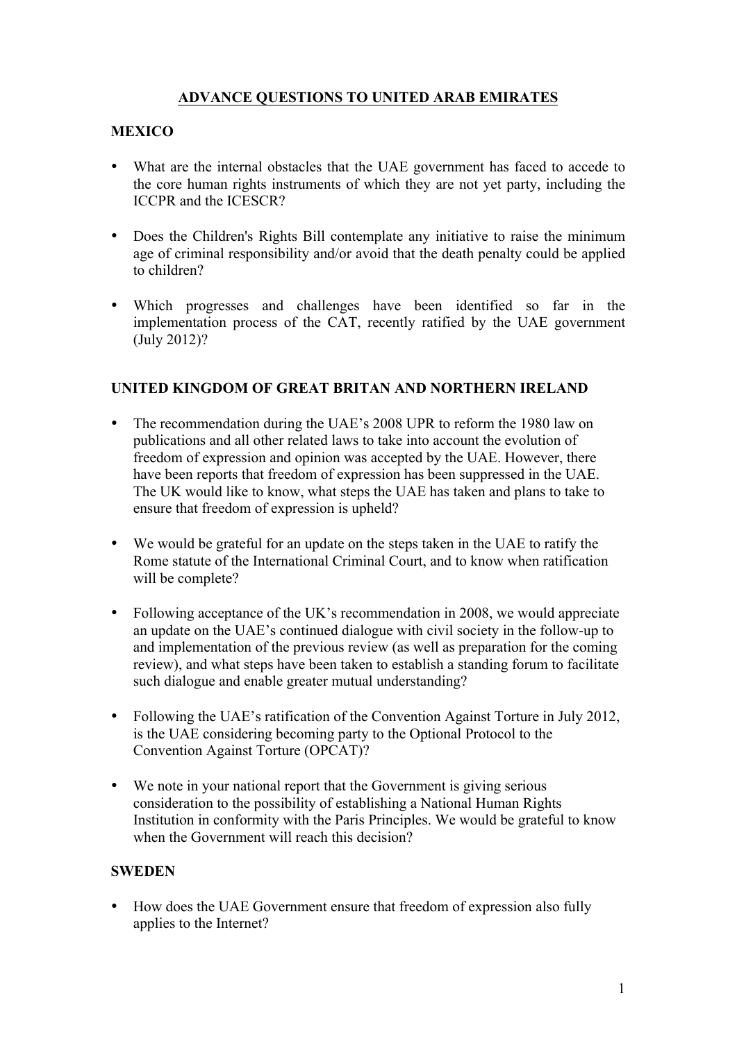# **ADVANCE QUESTIONS TO UNITED ARAB EMIRATES**

# **MEXICO**

- What are the internal obstacles that the UAE government has faced to accede to the core human rights instruments of which they are not yet party, including the ICCPR and the ICESCR?
- Does the Children's Rights Bill contemplate any initiative to raise the minimum age of criminal responsibility and/or avoid that the death penalty could be applied to children?
- Which progresses and challenges have been identified so far in the implementation process of the CAT, recently ratified by the UAE government (July 2012)?

### **UNITED KINGDOM OF GREAT BRITAN AND NORTHERN IRELAND**

- The recommendation during the UAE's 2008 UPR to reform the 1980 law on publications and all other related laws to take into account the evolution of freedom of expression and opinion was accepted by the UAE. However, there have been reports that freedom of expression has been suppressed in the UAE. The UK would like to know, what steps the UAE has taken and plans to take to ensure that freedom of expression is upheld?
- We would be grateful for an update on the steps taken in the UAE to ratify the Rome statute of the International Criminal Court, and to know when ratification will be complete?
- Following acceptance of the UK's recommendation in 2008, we would appreciate an update on the UAE's continued dialogue with civil society in the follow-up to and implementation of the previous review (as well as preparation for the coming review), and what steps have been taken to establish a standing forum to facilitate such dialogue and enable greater mutual understanding?
- Following the UAE's ratification of the Convention Against Torture in July 2012, is the UAE considering becoming party to the Optional Protocol to the Convention Against Torture (OPCAT)?
- We note in your national report that the Government is giving serious consideration to the possibility of establishing a National Human Rights Institution in conformity with the Paris Principles. We would be grateful to know when the Government will reach this decision?

#### **SWEDEN**

• How does the UAE Government ensure that freedom of expression also fully applies to the Internet?